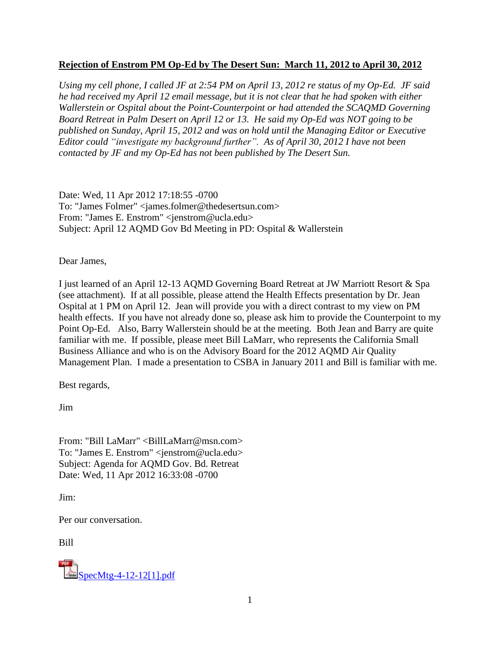### **Rejection of Enstrom PM Op-Ed by The Desert Sun: March 11, 2012 to April 30, 2012**

*Using my cell phone, I called JF at 2:54 PM on April 13, 2012 re status of my Op-Ed. JF said he had received my April 12 email message, but it is not clear that he had spoken with either Wallerstein or Ospital about the Point-Counterpoint or had attended the SCAQMD Governing Board Retreat in Palm Desert on April 12 or 13. He said my Op-Ed was NOT going to be published on Sunday, April 15, 2012 and was on hold until the Managing Editor or Executive Editor could "investigate my background further". As of April 30, 2012 I have not been contacted by JF and my Op-Ed has not been published by The Desert Sun.* 

Date: Wed, 11 Apr 2012 17:18:55 -0700 To: "James Folmer" <james.folmer@thedesertsun.com> From: "James E. Enstrom" <jenstrom@ucla.edu> Subject: April 12 AQMD Gov Bd Meeting in PD: Ospital & Wallerstein

Dear James,

I just learned of an April 12-13 AQMD Governing Board Retreat at JW Marriott Resort & Spa (see attachment). If at all possible, please attend the Health Effects presentation by Dr. Jean Ospital at 1 PM on April 12. Jean will provide you with a direct contrast to my view on PM health effects. If you have not already done so, please ask him to provide the Counterpoint to my Point Op-Ed. Also, Barry Wallerstein should be at the meeting. Both Jean and Barry are quite familiar with me. If possible, please meet Bill LaMarr, who represents the California Small Business Alliance and who is on the Advisory Board for the 2012 AQMD Air Quality Management Plan. I made a presentation to CSBA in January 2011 and Bill is familiar with me.

Best regards,

Jim

From: "Bill LaMarr" <BillLaMarr@msn.com> To: "James E. Enstrom" <jenstrom@ucla.edu> Subject: Agenda for AQMD Gov. Bd. Retreat Date: Wed, 11 Apr 2012 16:33:08 -0700

Jim:

Per our conversation.

Bill

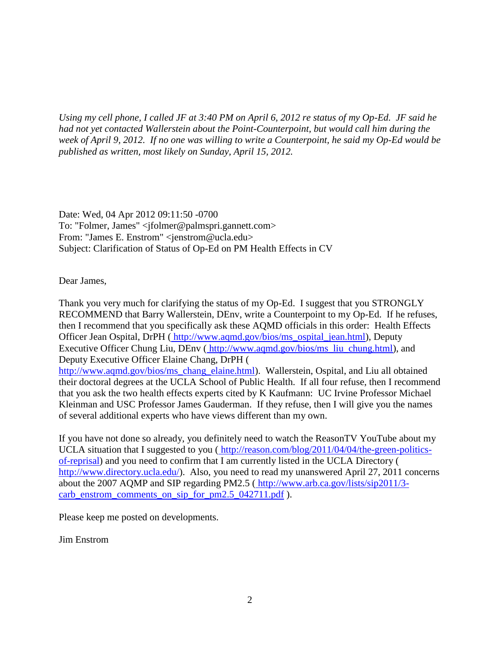*Using my cell phone, I called JF at 3:40 PM on April 6, 2012 re status of my Op-Ed. JF said he had not yet contacted Wallerstein about the Point-Counterpoint, but would call him during the week of April 9, 2012. If no one was willing to write a Counterpoint, he said my Op-Ed would be published as written, most likely on Sunday, April 15, 2012.*

Date: Wed, 04 Apr 2012 09:11:50 -0700 To: "Folmer, James" <jfolmer@palmspri.gannett.com> From: "James E. Enstrom" <jenstrom@ucla.edu> Subject: Clarification of Status of Op-Ed on PM Health Effects in CV

Dear James,

Thank you very much for clarifying the status of my Op-Ed. I suggest that you STRONGLY RECOMMEND that Barry Wallerstein, DEnv, write a Counterpoint to my Op-Ed. If he refuses, then I recommend that you specifically ask these AQMD officials in this order: Health Effects Officer Jean Ospital, DrPH ( [http://www.aqmd.gov/bios/ms\\_ospital\\_jean.html\)](http://www.aqmd.gov/bios/ms_ospital_jean.html), Deputy Executive Officer Chung Liu, DEnv ( [http://www.aqmd.gov/bios/ms\\_liu\\_chung.html\)](http://www.aqmd.gov/bios/ms_liu_chung.html), and Deputy Executive Officer Elaine Chang, DrPH [\(](http://www.aqmd.gov/bios/ms_chang_elaine.html) [http://www.aqmd.gov/bios/ms\\_chang\\_elaine.html\)](http://www.aqmd.gov/bios/ms_chang_elaine.html). Wallerstein, Ospital, and Liu all obtained their doctoral degrees at the UCLA School of Public Health. If all four refuse, then I recommend that you ask the two health effects experts cited by K Kaufmann: UC Irvine Professor Michael Kleinman and USC Professor James Gauderman. If they refuse, then I will give you the names of several additional experts who have views different than my own.

If you have not done so already, you definitely need to watch the ReasonTV YouTube about my UCLA situation that I suggested to you ( [http://reason.com/blog/2011/04/04/the-green-politics](http://reason.com/blog/2011/04/04/the-green-politics-of-reprisal)[of-reprisal\)](http://reason.com/blog/2011/04/04/the-green-politics-of-reprisal) and you need to confirm that I am currently listed in the UCLA Directory [\(](http://www.directory.ucla.edu/) [http://www.directory.ucla.edu/\)](http://www.directory.ucla.edu/). Also, you need to read my unanswered April 27, 2011 concerns about the 2007 AQMP and SIP regarding PM2.5 ( [http://www.arb.ca.gov/lists/sip2011/3](http://www.arb.ca.gov/lists/sip2011/3-carb_enstrom_comments_on_sip_for_pm2.5_042711.pdf) [carb\\_enstrom\\_comments\\_on\\_sip\\_for\\_pm2.5\\_042711.pdf](http://www.arb.ca.gov/lists/sip2011/3-carb_enstrom_comments_on_sip_for_pm2.5_042711.pdf) ).

Please keep me posted on developments.

Jim Enstrom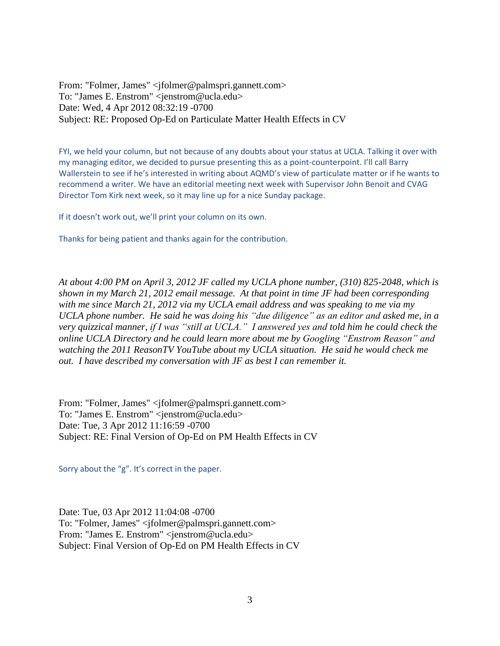From: "Folmer, James" <jfolmer@palmspri.gannett.com> To: "James E. Enstrom" <jenstrom@ucla.edu> Date: Wed, 4 Apr 2012 08:32:19 -0700 Subject: RE: Proposed Op-Ed on Particulate Matter Health Effects in CV

FYI, we held your column, but not because of any doubts about your status at UCLA. Talking it over with my managing editor, we decided to pursue presenting this as a point-counterpoint. I'll call Barry Wallerstein to see if he's interested in writing about AQMD's view of particulate matter or if he wants to recommend a writer. We have an editorial meeting next week with Supervisor John Benoit and CVAG Director Tom Kirk next week, so it may line up for a nice Sunday package.

If it doesn't work out, we'll print your column on its own.

Thanks for being patient and thanks again for the contribution.

*At about 4:00 PM on April 3, 2012 JF called my UCLA phone number, (310) 825-2048, which is shown in my March 21, 2012 email message. At that point in time JF had been corresponding with me since March 21, 2012 via my UCLA email address and was speaking to me via my UCLA phone number. He said he was doing his "due diligence" as an editor and asked me, in a very quizzical manner, if I was "still at UCLA." I answered yes and told him he could check the online UCLA Directory and he could learn more about me by Googling "Enstrom Reason" and watching the 2011 ReasonTV YouTube about my UCLA situation. He said he would check me out. I have described my conversation with JF as best I can remember it.*

From: "Folmer, James" <jfolmer@palmspri.gannett.com> To: "James E. Enstrom" <jenstrom@ucla.edu> Date: Tue, 3 Apr 2012 11:16:59 -0700 Subject: RE: Final Version of Op-Ed on PM Health Effects in CV

Sorry about the "g". It's correct in the paper.

Date: Tue, 03 Apr 2012 11:04:08 -0700 To: "Folmer, James" <jfolmer@palmspri.gannett.com> From: "James E. Enstrom" <jenstrom@ucla.edu> Subject: Final Version of Op-Ed on PM Health Effects in CV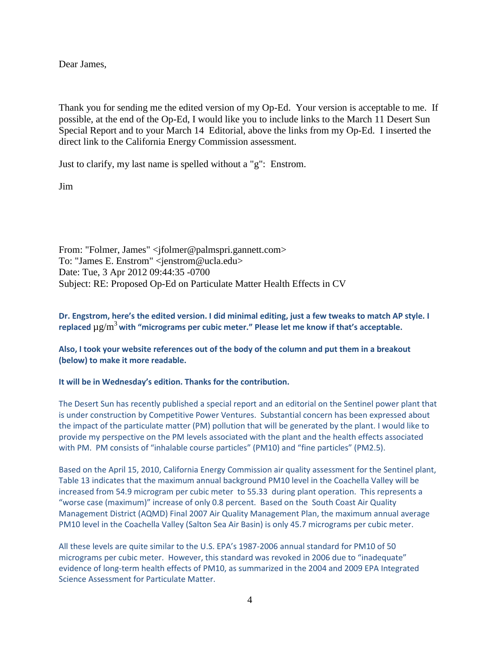Dear James,

Thank you for sending me the edited version of my Op-Ed. Your version is acceptable to me. If possible, at the end of the Op-Ed, I would like you to include links to the March 11 Desert Sun Special Report and to your March 14 Editorial, above the links from my Op-Ed. I inserted the direct link to the California Energy Commission assessment.

Just to clarify, my last name is spelled without a "g": Enstrom.

Jim

From: "Folmer, James" <jfolmer@palmspri.gannett.com> To: "James E. Enstrom" <jenstrom@ucla.edu> Date: Tue, 3 Apr 2012 09:44:35 -0700 Subject: RE: Proposed Op-Ed on Particulate Matter Health Effects in CV

### **Dr. Engstrom, here's the edited version. I did minimal editing, just a few tweaks to match AP style. I replaced** µg/m<sup>3</sup>**with "micrograms per cubic meter." Please let me know if that's acceptable.**

### **Also, I took your website references out of the body of the column and put them in a breakout (below) to make it more readable.**

#### **It will be in Wednesday's edition. Thanks for the contribution.**

The Desert Sun has recently published a special report and an editorial on the Sentinel power plant that is under construction by Competitive Power Ventures. Substantial concern has been expressed about the impact of the particulate matter (PM) pollution that will be generated by the plant. I would like to provide my perspective on the PM levels associated with the plant and the health effects associated with PM. PM consists of "inhalable course particles" (PM10) and "fine particles" (PM2.5).

Based on the April 15, 2010, California Energy Commission air quality assessment for the Sentinel plant, Table 13 indicates that the maximum annual background PM10 level in the Coachella Valley will be increased from 54.9 microgram per cubic meter to 55.33 during plant operation. This represents a "worse case (maximum)" increase of only 0.8 percent. Based on the South Coast Air Quality Management District (AQMD) Final 2007 Air Quality Management Plan, the maximum annual average PM10 level in the Coachella Valley (Salton Sea Air Basin) is only 45.7 micrograms per cubic meter.

All these levels are quite similar to the U.S. EPA's 1987-2006 annual standard for PM10 of 50 micrograms per cubic meter. However, this standard was revoked in 2006 due to "inadequate" evidence of long-term health effects of PM10, as summarized in the 2004 and 2009 EPA Integrated Science Assessment for Particulate Matter.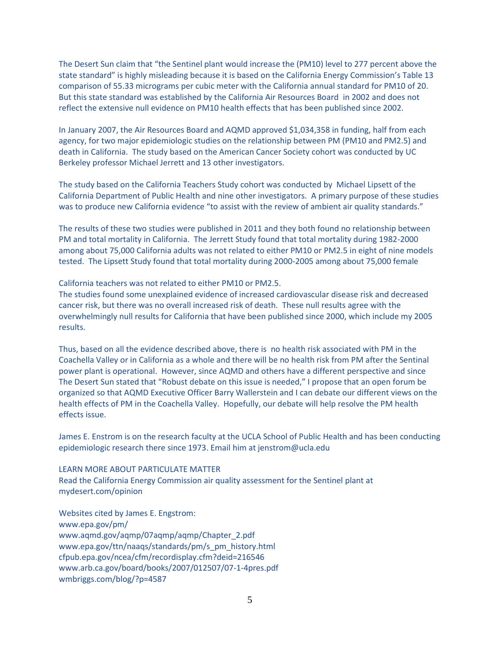The Desert Sun claim that "the Sentinel plant would increase the (PM10) level to 277 percent above the state standard" is highly misleading because it is based on the California Energy Commission's Table 13 comparison of 55.33 micrograms per cubic meter with the California annual standard for PM10 of 20. But this state standard was established by the California Air Resources Board in 2002 and does not reflect the extensive null evidence on PM10 health effects that has been published since 2002.

In January 2007, the Air Resources Board and AQMD approved \$1,034,358 in funding, half from each agency, for two major epidemiologic studies on the relationship between PM (PM10 and PM2.5) and death in California. The study based on the American Cancer Society cohort was conducted by UC Berkeley professor Michael Jerrett and 13 other investigators.

The study based on the California Teachers Study cohort was conducted by Michael Lipsett of the California Department of Public Health and nine other investigators. A primary purpose of these studies was to produce new California evidence "to assist with the review of ambient air quality standards."

The results of these two studies were published in 2011 and they both found no relationship between PM and total mortality in California. The Jerrett Study found that total mortality during 1982-2000 among about 75,000 California adults was not related to either PM10 or PM2.5 in eight of nine models tested. The Lipsett Study found that total mortality during 2000-2005 among about 75,000 female

California teachers was not related to either PM10 or PM2.5.

The studies found some unexplained evidence of increased cardiovascular disease risk and decreased cancer risk, but there was no overall increased risk of death. These null results agree with the overwhelmingly null results for California that have been published since 2000, which include my 2005 results.

Thus, based on all the evidence described above, there is no health risk associated with PM in the Coachella Valley or in California as a whole and there will be no health risk from PM after the Sentinal power plant is operational. However, since AQMD and others have a different perspective and since The Desert Sun stated that "Robust debate on this issue is needed," I propose that an open forum be organized so that AQMD Executive Officer Barry Wallerstein and I can debate our different views on the health effects of PM in the Coachella Valley. Hopefully, our debate will help resolve the PM health effects issue.

James E. Enstrom is on the research faculty at the UCLA School of Public Health and has been conducting epidemiologic research there since 1973. Email him at jenstrom@ucla.edu

#### LEARN MORE ABOUT PARTICULATE MATTER

Read the California Energy Commission air quality assessment for the Sentinel plant at mydesert.com/opinion

Websites cited by James E. Engstrom: www.epa.gov/pm/ www.aqmd.gov/aqmp/07aqmp/aqmp/Chapter\_2.pdf www.epa.gov/ttn/naaqs/standards/pm/s\_pm\_history.html cfpub.epa.gov/ncea/cfm/recordisplay.cfm?deid=216546 www.arb.ca.gov/board/books/2007/012507/07-1-4pres.pdf wmbriggs.com/blog/?p=4587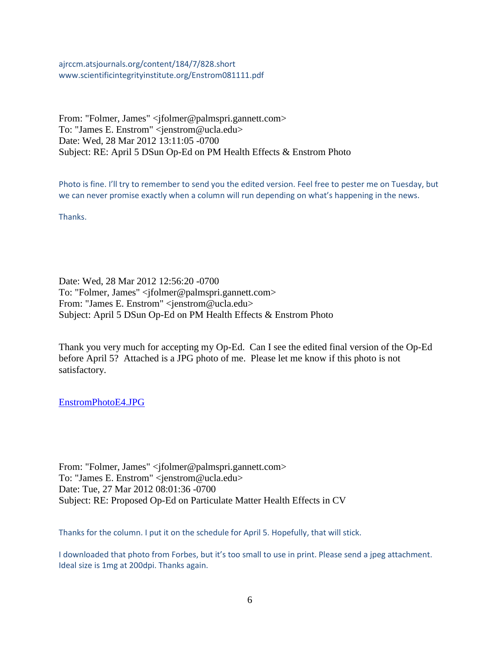ajrccm.atsjournals.org/content/184/7/828.short www.scientificintegrityinstitute.org/Enstrom081111.pdf

From: "Folmer, James" <jfolmer@palmspri.gannett.com> To: "James E. Enstrom" <jenstrom@ucla.edu> Date: Wed, 28 Mar 2012 13:11:05 -0700 Subject: RE: April 5 DSun Op-Ed on PM Health Effects & Enstrom Photo

Photo is fine. I'll try to remember to send you the edited version. Feel free to pester me on Tuesday, but we can never promise exactly when a column will run depending on what's happening in the news.

Thanks.

Date: Wed, 28 Mar 2012 12:56:20 -0700 To: "Folmer, James" <jfolmer@palmspri.gannett.com> From: "James E. Enstrom" <jenstrom@ucla.edu> Subject: April 5 DSun Op-Ed on PM Health Effects & Enstrom Photo

Thank you very much for accepting my Op-Ed. Can I see the edited final version of the Op-Ed before April 5? Attached is a JPG photo of me. Please let me know if this photo is not satisfactory.

[EnstromPhotoE4.JPG](../documents%20and%20settings/james%20enstrom/application%20data/qualcomm/eudora/attach/EnstromPhotoE4.JPG) 

From: "Folmer, James" <jfolmer@palmspri.gannett.com> To: "James E. Enstrom" <jenstrom@ucla.edu> Date: Tue, 27 Mar 2012 08:01:36 -0700 Subject: RE: Proposed Op-Ed on Particulate Matter Health Effects in CV

Thanks for the column. I put it on the schedule for April 5. Hopefully, that will stick.

I downloaded that photo from Forbes, but it's too small to use in print. Please send a jpeg attachment. Ideal size is 1mg at 200dpi. Thanks again.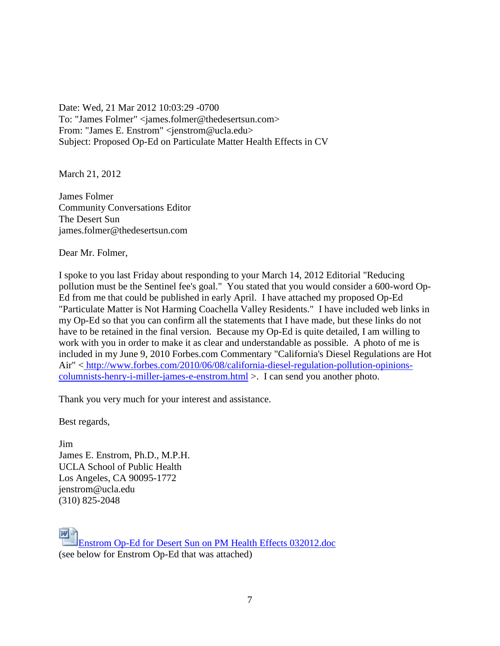Date: Wed, 21 Mar 2012 10:03:29 -0700 To: "James Folmer" <james.folmer@thedesertsun.com> From: "James E. Enstrom" <jenstrom@ucla.edu> Subject: Proposed Op-Ed on Particulate Matter Health Effects in CV

March 21, 2012

James Folmer Community Conversations Editor The Desert Sun james.folmer@thedesertsun.com

Dear Mr. Folmer,

I spoke to you last Friday about responding to your March 14, 2012 Editorial "Reducing pollution must be the Sentinel fee's goal." You stated that you would consider a 600-word Op-Ed from me that could be published in early April. I have attached my proposed Op-Ed "Particulate Matter is Not Harming Coachella Valley Residents." I have included web links in my Op-Ed so that you can confirm all the statements that I have made, but these links do not have to be retained in the final version. Because my Op-Ed is quite detailed, I am willing to work with you in order to make it as clear and understandable as possible. A photo of me is included in my June 9, 2010 Forbes.com Commentary "California's Diesel Regulations are Hot Air" < [http://www.forbes.com/2010/06/08/california-diesel-regulation-pollution-opinions](http://www.forbes.com/2010/06/08/california-diesel-regulation-pollution-opinions-columnists-henry-i-miller-james-e-enstrom.html)[columnists-henry-i-miller-james-e-enstrom.html](http://www.forbes.com/2010/06/08/california-diesel-regulation-pollution-opinions-columnists-henry-i-miller-james-e-enstrom.html) >. I can send you another photo.

Thank you very much for your interest and assistance.

Best regards,

Jim James E. Enstrom, Ph.D., M.P.H. UCLA School of Public Health Los Angeles, CA 90095-1772 jenstrom@ucla.edu (310) 825-2048

[Enstrom Op-Ed for Desert Sun on PM Health Effects 032012.doc](../documents%20and%20settings/james%20enstrom/application%20data/qualcomm/eudora/attach/Enstrom%20Op-Ed%20for%20Desert%20Sun%20on%20PM%20Health%20Effects%20032012.doc) (see below for Enstrom Op-Ed that was attached)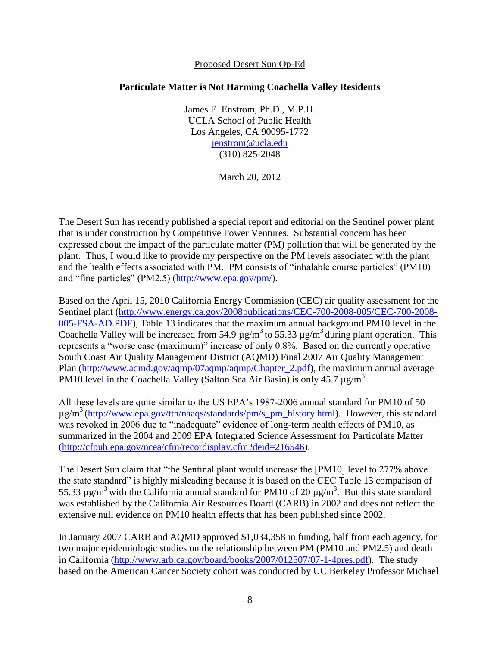### Proposed Desert Sun Op-Ed

### **Particulate Matter is Not Harming Coachella Valley Residents**

James E. Enstrom, Ph.D., M.P.H. UCLA School of Public Health Los Angeles, CA 90095-1772 [jenstrom@ucla.edu](mailto:jenstrom@ucla.edu) (310) 825-2048

March 20, 2012

The Desert Sun has recently published a special report and editorial on the Sentinel power plant that is under construction by Competitive Power Ventures. Substantial concern has been expressed about the impact of the particulate matter (PM) pollution that will be generated by the plant. Thus, I would like to provide my perspective on the PM levels associated with the plant and the health effects associated with PM. PM consists of "inhalable course particles" (PM10) and "fine particles" (PM2.5) [\(http://www.epa.gov/pm/\)](http://www.epa.gov/pm/).

Based on the April 15, 2010 California Energy Commission (CEC) air quality assessment for the Sentinel plant [\(http://www.energy.ca.gov/2008publications/CEC-700-2008-005/CEC-700-2008-](http://www.energy.ca.gov/2008publications/CEC-700-2008-005/CEC-700-2008-005-FSA-AD.PDF) [005-FSA-AD.PDF\)](http://www.energy.ca.gov/2008publications/CEC-700-2008-005/CEC-700-2008-005-FSA-AD.PDF), Table 13 indicates that the maximum annual background PM10 level in the Coachella Valley will be increased from 54.9  $\mu$ g/m<sup>3</sup> to 55.33  $\mu$ g/m<sup>3</sup> during plant operation. This represents a "worse case (maximum)" increase of only 0.8%. Based on the currently operative South Coast Air Quality Management District (AQMD) Final 2007 Air Quality Management Plan [\(http://www.aqmd.gov/aqmp/07aqmp/aqmp/Chapter\\_2.pdf\)](http://www.aqmd.gov/aqmp/07aqmp/aqmp/Chapter_2.pdf), the maximum annual average PM10 level in the Coachella Valley (Salton Sea Air Basin) is only 45.7 µg/m<sup>3</sup>.

All these levels are quite similar to the US EPA's 1987-2006 annual standard for PM10 of 50  $\mu$ g/m<sup>3</sup>[\(http://www.epa.gov/ttn/naaqs/standards/pm/s\\_pm\\_history.html\)](http://www.epa.gov/ttn/naaqs/standards/pm/s_pm_history.html). However, this standard was revoked in 2006 due to "inadequate" evidence of long-term health effects of PM10, as summarized in the 2004 and 2009 EPA Integrated Science Assessment for Particulate Matter [\(http://cfpub.epa.gov/ncea/cfm/recordisplay.cfm?deid=216546\)](http://cfpub.epa.gov/ncea/cfm/recordisplay.cfm?deid=216546).

The Desert Sun claim that "the Sentinal plant would increase the [PM10] level to 277% above the state standard" is highly misleading because it is based on the CEC Table 13 comparison of 55.33  $\mu$ g/m<sup>3</sup> with the California annual standard for PM10 of 20  $\mu$ g/m<sup>3</sup>. But this state standard was established by the California Air Resources Board (CARB) in 2002 and does not reflect the extensive null evidence on PM10 health effects that has been published since 2002.

In January 2007 CARB and AQMD approved \$1,034,358 in funding, half from each agency, for two major epidemiologic studies on the relationship between PM (PM10 and PM2.5) and death in California [\(http://www.arb.ca.gov/board/books/2007/012507/07-1-4pres.pdf\)](http://www.arb.ca.gov/board/books/2007/012507/07-1-4pres.pdf). The study based on the American Cancer Society cohort was conducted by UC Berkeley Professor Michael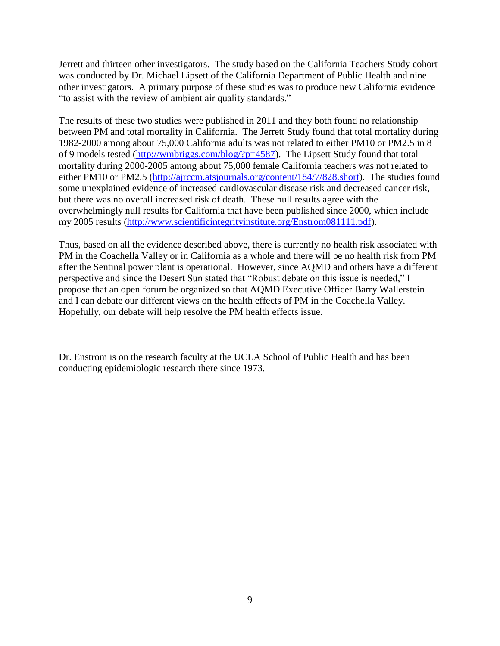Jerrett and thirteen other investigators. The study based on the California Teachers Study cohort was conducted by Dr. Michael Lipsett of the California Department of Public Health and nine other investigators. A primary purpose of these studies was to produce new California evidence "to assist with the review of ambient air quality standards."

The results of these two studies were published in 2011 and they both found no relationship between PM and total mortality in California. The Jerrett Study found that total mortality during 1982-2000 among about 75,000 California adults was not related to either PM10 or PM2.5 in 8 of 9 models tested [\(http://wmbriggs.com/blog/?p=4587\)](http://wmbriggs.com/blog/?p=4587). The Lipsett Study found that total mortality during 2000-2005 among about 75,000 female California teachers was not related to either PM10 or PM2.5 [\(http://ajrccm.atsjournals.org/content/184/7/828.short\)](http://ajrccm.atsjournals.org/content/184/7/828.short). The studies found some unexplained evidence of increased cardiovascular disease risk and decreased cancer risk, but there was no overall increased risk of death. These null results agree with the overwhelmingly null results for California that have been published since 2000, which include my 2005 results [\(http://www.scientificintegrityinstitute.org/Enstrom081111.pdf\)](http://www.scientificintegrityinstitute.org/Enstrom081111.pdf).

Thus, based on all the evidence described above, there is currently no health risk associated with PM in the Coachella Valley or in California as a whole and there will be no health risk from PM after the Sentinal power plant is operational. However, since AQMD and others have a different perspective and since the Desert Sun stated that "Robust debate on this issue is needed," I propose that an open forum be organized so that AQMD Executive Officer Barry Wallerstein and I can debate our different views on the health effects of PM in the Coachella Valley. Hopefully, our debate will help resolve the PM health effects issue.

Dr. Enstrom is on the research faculty at the UCLA School of Public Health and has been conducting epidemiologic research there since 1973.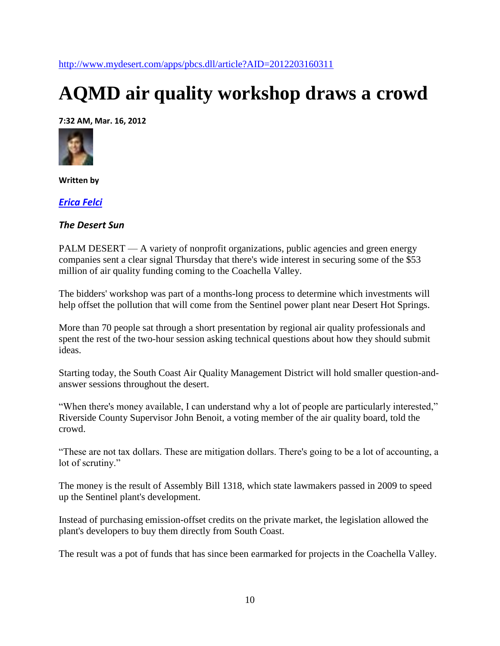<http://www.mydesert.com/apps/pbcs.dll/article?AID=2012203160311>

# **AQMD air quality workshop draws a crowd**

**7:32 AM, Mar. 16, 2012**



**Written by**

*[Erica Felci](mailto:erica.felci@thedesertsun.com)*

### *The Desert Sun*

PALM DESERT — A variety of nonprofit organizations, public agencies and green energy companies sent a clear signal Thursday that there's wide interest in securing some of the \$53 million of air quality funding coming to the Coachella Valley.

The bidders' workshop was part of a months-long process to determine which investments will help offset the pollution that will come from the Sentinel power plant near Desert Hot Springs.

More than 70 people sat through a short presentation by regional air quality professionals and spent the rest of the two-hour session asking technical questions about how they should submit ideas.

Starting today, the South Coast Air Quality Management District will hold smaller question-andanswer sessions throughout the desert.

"When there's money available, I can understand why a lot of people are particularly interested," Riverside County Supervisor John Benoit, a voting member of the air quality board, told the crowd.

"These are not tax dollars. These are mitigation dollars. There's going to be a lot of accounting, a lot of scrutiny."

The money is the result of Assembly Bill 1318, which state lawmakers passed in 2009 to speed up the Sentinel plant's development.

Instead of purchasing emission-offset credits on the private market, the legislation allowed the plant's developers to buy them directly from South Coast.

The result was a pot of funds that has since been earmarked for projects in the Coachella Valley.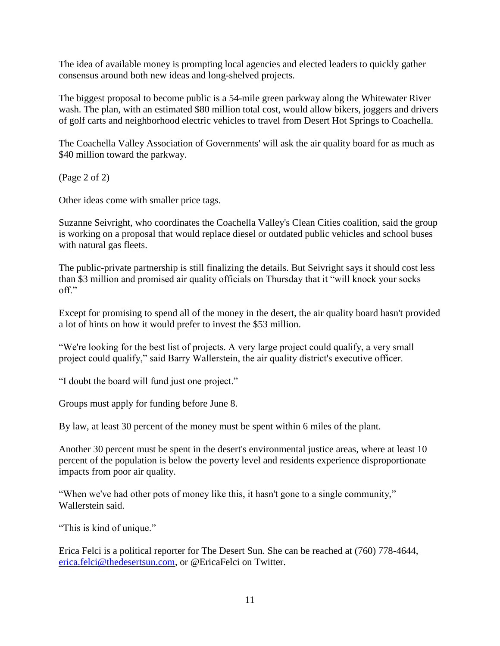The idea of available money is prompting local agencies and elected leaders to quickly gather consensus around both new ideas and long-shelved projects.

The biggest proposal to become public is a 54-mile green parkway along the Whitewater River wash. The plan, with an estimated \$80 million total cost, would allow bikers, joggers and drivers of golf carts and neighborhood electric vehicles to travel from Desert Hot Springs to Coachella.

The Coachella Valley Association of Governments' will ask the air quality board for as much as \$40 million toward the parkway.

(Page 2 of 2)

Other ideas come with smaller price tags.

Suzanne Seivright, who coordinates the Coachella Valley's Clean Cities coalition, said the group is working on a proposal that would replace diesel or outdated public vehicles and school buses with natural gas fleets.

The public-private partnership is still finalizing the details. But Seivright says it should cost less than \$3 million and promised air quality officials on Thursday that it "will knock your socks off."

Except for promising to spend all of the money in the desert, the air quality board hasn't provided a lot of hints on how it would prefer to invest the \$53 million.

"We're looking for the best list of projects. A very large project could qualify, a very small project could qualify," said Barry Wallerstein, the air quality district's executive officer.

"I doubt the board will fund just one project."

Groups must apply for funding before June 8.

By law, at least 30 percent of the money must be spent within 6 miles of the plant.

Another 30 percent must be spent in the desert's environmental justice areas, where at least 10 percent of the population is below the poverty level and residents experience disproportionate impacts from poor air quality.

"When we've had other pots of money like this, it hasn't gone to a single community," Wallerstein said.

"This is kind of unique."

Erica Felci is a political reporter for The Desert Sun. She can be reached at (760) 778-4644, [erica.felci@thedesertsun.com,](mailto:erica.felci@thedesertsun.com) or @EricaFelci on Twitter.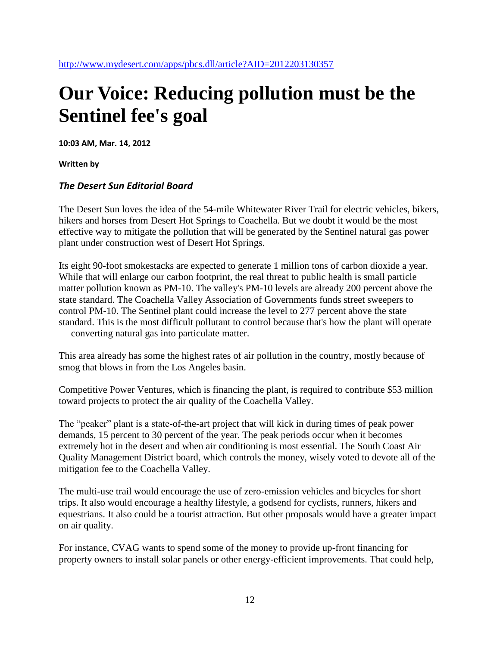## **Our Voice: Reducing pollution must be the Sentinel fee's goal**

**10:03 AM, Mar. 14, 2012**

**Written by**

### *The Desert Sun Editorial Board*

The Desert Sun loves the idea of the 54-mile Whitewater River Trail for electric vehicles, bikers, hikers and horses from Desert Hot Springs to Coachella. But we doubt it would be the most effective way to mitigate the pollution that will be generated by the Sentinel natural gas power plant under construction west of Desert Hot Springs.

Its eight 90-foot smokestacks are expected to generate 1 million tons of carbon dioxide a year. While that will enlarge our carbon footprint, the real threat to public health is small particle matter pollution known as PM-10. The valley's PM-10 levels are already 200 percent above the state standard. The Coachella Valley Association of Governments funds street sweepers to control PM-10. The Sentinel plant could increase the level to 277 percent above the state standard. This is the most difficult pollutant to control because that's how the plant will operate — converting natural gas into particulate matter.

This area already has some the highest rates of air pollution in the country, mostly because of smog that blows in from the Los Angeles basin.

Competitive Power Ventures, which is financing the plant, is required to contribute \$53 million toward projects to protect the air quality of the Coachella Valley.

The "peaker" plant is a state-of-the-art project that will kick in during times of peak power demands, 15 percent to 30 percent of the year. The peak periods occur when it becomes extremely hot in the desert and when air conditioning is most essential. The South Coast Air Quality Management District board, which controls the money, wisely voted to devote all of the mitigation fee to the Coachella Valley.

The multi-use trail would encourage the use of zero-emission vehicles and bicycles for short trips. It also would encourage a healthy lifestyle, a godsend for cyclists, runners, hikers and equestrians. It also could be a tourist attraction. But other proposals would have a greater impact on air quality.

For instance, CVAG wants to spend some of the money to provide up-front financing for property owners to install solar panels or other energy-efficient improvements. That could help,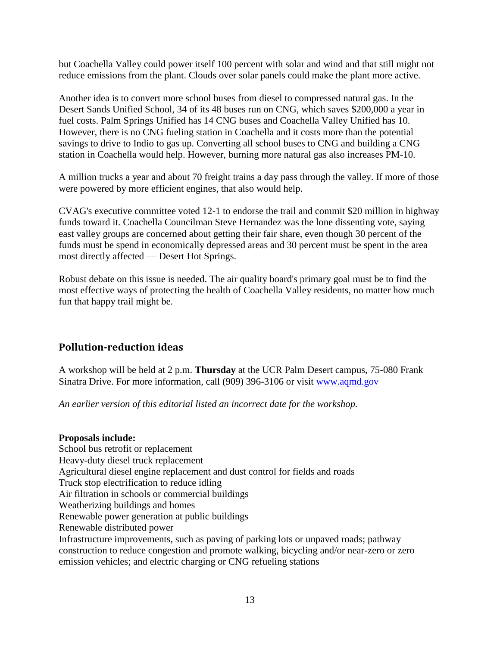but Coachella Valley could power itself 100 percent with solar and wind and that still might not reduce emissions from the plant. Clouds over solar panels could make the plant more active.

Another idea is to convert more school buses from diesel to compressed natural gas. In the Desert Sands Unified School, 34 of its 48 buses run on CNG, which saves \$200,000 a year in fuel costs. Palm Springs Unified has 14 CNG buses and Coachella Valley Unified has 10. However, there is no CNG fueling station in Coachella and it costs more than the potential savings to drive to Indio to gas up. Converting all school buses to CNG and building a CNG station in Coachella would help. However, burning more natural gas also increases PM-10.

A million trucks a year and about 70 freight trains a day pass through the valley. If more of those were powered by more efficient engines, that also would help.

CVAG's executive committee voted 12-1 to endorse the trail and commit \$20 million in highway funds toward it. Coachella Councilman Steve Hernandez was the lone dissenting vote, saying east valley groups are concerned about getting their fair share, even though 30 percent of the funds must be spend in economically depressed areas and 30 percent must be spent in the area most directly affected — Desert Hot Springs.

Robust debate on this issue is needed. The air quality board's primary goal must be to find the most effective ways of protecting the health of Coachella Valley residents, no matter how much fun that happy trail might be.

## **Pollution-reduction ideas**

A workshop will be held at 2 p.m. **Thursday** at the UCR Palm Desert campus, 75-080 Frank Sinatra Drive. For more information, call (909) 396-3106 or visit [www.aqmd.gov](http://www.aqmd.gov/)

*An earlier version of this editorial listed an incorrect date for the workshop.*

### **Proposals include:**

School bus retrofit or replacement Heavy-duty diesel truck replacement Agricultural diesel engine replacement and dust control for fields and roads Truck stop electrification to reduce idling Air filtration in schools or commercial buildings Weatherizing buildings and homes Renewable power generation at public buildings Renewable distributed power Infrastructure improvements, such as paving of parking lots or unpaved roads; pathway construction to reduce congestion and promote walking, bicycling and/or near-zero or zero emission vehicles; and electric charging or CNG refueling stations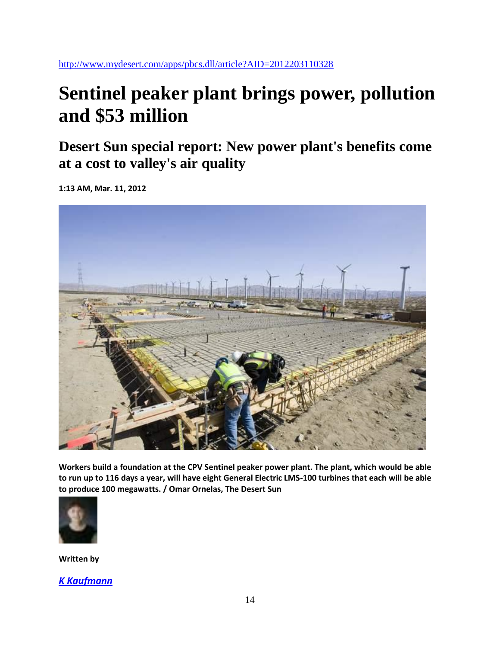<http://www.mydesert.com/apps/pbcs.dll/article?AID=2012203110328>

# **Sentinel peaker plant brings power, pollution and \$53 million**

**Desert Sun special report: New power plant's benefits come at a cost to valley's air quality**

**1:13 AM, Mar. 11, 2012**



**Workers build a foundation at the CPV Sentinel peaker power plant. The plant, which would be able to run up to 116 days a year, will have eight General Electric LMS-100 turbines that each will be able to produce 100 megawatts. / Omar Ornelas, The Desert Sun**



**Written by**

*K [Kaufmann](mailto:k.Kaufmann@thedesertsun.com)*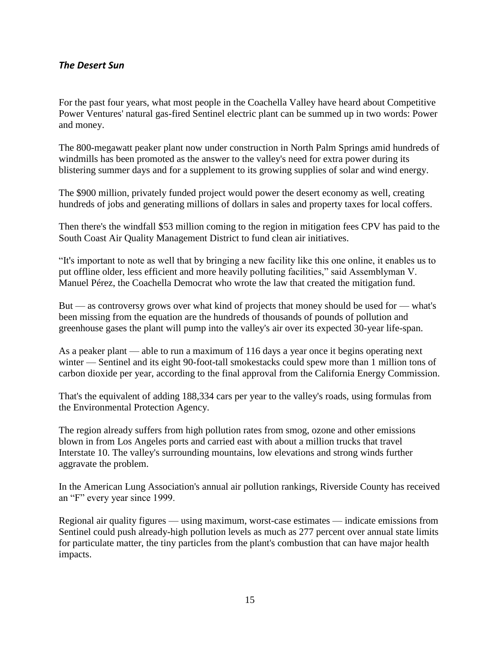### *The Desert Sun*

For the past four years, what most people in the Coachella Valley have heard about Competitive Power Ventures' natural gas-fired Sentinel electric plant can be summed up in two words: Power and money.

The 800-megawatt peaker plant now under construction in North Palm Springs amid hundreds of windmills has been promoted as the answer to the valley's need for extra power during its blistering summer days and for a supplement to its growing supplies of solar and wind energy.

The \$900 million, privately funded project would power the desert economy as well, creating hundreds of jobs and generating millions of dollars in sales and property taxes for local coffers.

Then there's the windfall \$53 million coming to the region in mitigation fees CPV has paid to the South Coast Air Quality Management District to fund clean air initiatives.

"It's important to note as well that by bringing a new facility like this one online, it enables us to put offline older, less efficient and more heavily polluting facilities," said Assemblyman V. Manuel Pérez, the Coachella Democrat who wrote the law that created the mitigation fund.

But — as controversy grows over what kind of projects that money should be used for — what's been missing from the equation are the hundreds of thousands of pounds of pollution and greenhouse gases the plant will pump into the valley's air over its expected 30-year life-span.

As a peaker plant — able to run a maximum of 116 days a year once it begins operating next winter — Sentinel and its eight 90-foot-tall smokestacks could spew more than 1 million tons of carbon dioxide per year, according to the final approval from the California Energy Commission.

That's the equivalent of adding 188,334 cars per year to the valley's roads, using formulas from the Environmental Protection Agency.

The region already suffers from high pollution rates from smog, ozone and other emissions blown in from Los Angeles ports and carried east with about a million trucks that travel Interstate 10. The valley's surrounding mountains, low elevations and strong winds further aggravate the problem.

In the American Lung Association's annual air pollution rankings, Riverside County has received an "F" every year since 1999.

Regional air quality figures — using maximum, worst-case estimates — indicate emissions from Sentinel could push already-high pollution levels as much as 277 percent over annual state limits for particulate matter, the tiny particles from the plant's combustion that can have major health impacts.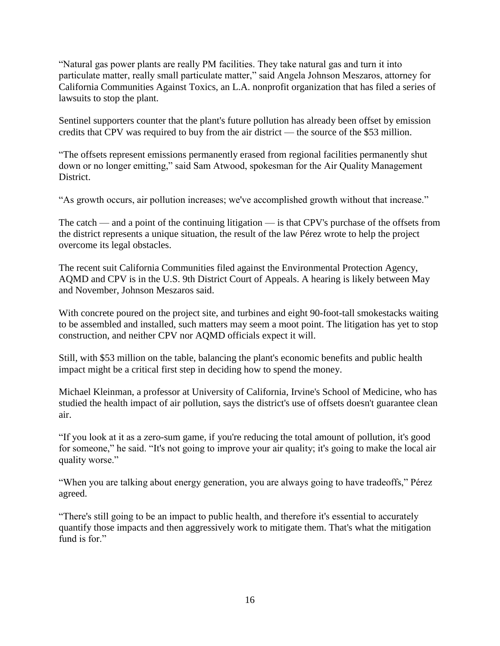"Natural gas power plants are really PM facilities. They take natural gas and turn it into particulate matter, really small particulate matter," said Angela Johnson Meszaros, attorney for California Communities Against Toxics, an L.A. nonprofit organization that has filed a series of lawsuits to stop the plant.

Sentinel supporters counter that the plant's future pollution has already been offset by emission credits that CPV was required to buy from the air district — the source of the \$53 million.

"The offsets represent emissions permanently erased from regional facilities permanently shut down or no longer emitting," said Sam Atwood, spokesman for the Air Quality Management District.

"As growth occurs, air pollution increases; we've accomplished growth without that increase."

The catch — and a point of the continuing litigation — is that CPV's purchase of the offsets from the district represents a unique situation, the result of the law Pérez wrote to help the project overcome its legal obstacles.

The recent suit California Communities filed against the Environmental Protection Agency, AQMD and CPV is in the U.S. 9th District Court of Appeals. A hearing is likely between May and November, Johnson Meszaros said.

With concrete poured on the project site, and turbines and eight 90-foot-tall smokestacks waiting to be assembled and installed, such matters may seem a moot point. The litigation has yet to stop construction, and neither CPV nor AQMD officials expect it will.

Still, with \$53 million on the table, balancing the plant's economic benefits and public health impact might be a critical first step in deciding how to spend the money.

Michael Kleinman, a professor at University of California, Irvine's School of Medicine, who has studied the health impact of air pollution, says the district's use of offsets doesn't guarantee clean air.

"If you look at it as a zero-sum game, if you're reducing the total amount of pollution, it's good for someone," he said. "It's not going to improve your air quality; it's going to make the local air quality worse."

"When you are talking about energy generation, you are always going to have tradeoffs," Pérez agreed.

"There's still going to be an impact to public health, and therefore it's essential to accurately quantify those impacts and then aggressively work to mitigate them. That's what the mitigation fund is for."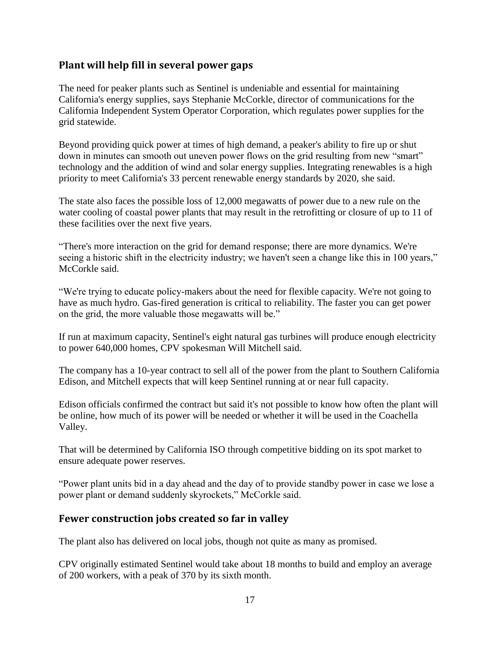### **Plant will help fill in several power gaps**

The need for peaker plants such as Sentinel is undeniable and essential for maintaining California's energy supplies, says Stephanie McCorkle, director of communications for the California Independent System Operator Corporation, which regulates power supplies for the grid statewide.

Beyond providing quick power at times of high demand, a peaker's ability to fire up or shut down in minutes can smooth out uneven power flows on the grid resulting from new "smart" technology and the addition of wind and solar energy supplies. Integrating renewables is a high priority to meet California's 33 percent renewable energy standards by 2020, she said.

The state also faces the possible loss of 12,000 megawatts of power due to a new rule on the water cooling of coastal power plants that may result in the retrofitting or closure of up to 11 of these facilities over the next five years.

"There's more interaction on the grid for demand response; there are more dynamics. We're seeing a historic shift in the electricity industry; we haven't seen a change like this in 100 years," McCorkle said.

"We're trying to educate policy-makers about the need for flexible capacity. We're not going to have as much hydro. Gas-fired generation is critical to reliability. The faster you can get power on the grid, the more valuable those megawatts will be."

If run at maximum capacity, Sentinel's eight natural gas turbines will produce enough electricity to power 640,000 homes, CPV spokesman Will Mitchell said.

The company has a 10-year contract to sell all of the power from the plant to Southern California Edison, and Mitchell expects that will keep Sentinel running at or near full capacity.

Edison officials confirmed the contract but said it's not possible to know how often the plant will be online, how much of its power will be needed or whether it will be used in the Coachella Valley.

That will be determined by California ISO through competitive bidding on its spot market to ensure adequate power reserves.

"Power plant units bid in a day ahead and the day of to provide standby power in case we lose a power plant or demand suddenly skyrockets," McCorkle said.

## **Fewer construction jobs created so far in valley**

The plant also has delivered on local jobs, though not quite as many as promised.

CPV originally estimated Sentinel would take about 18 months to build and employ an average of 200 workers, with a peak of 370 by its sixth month.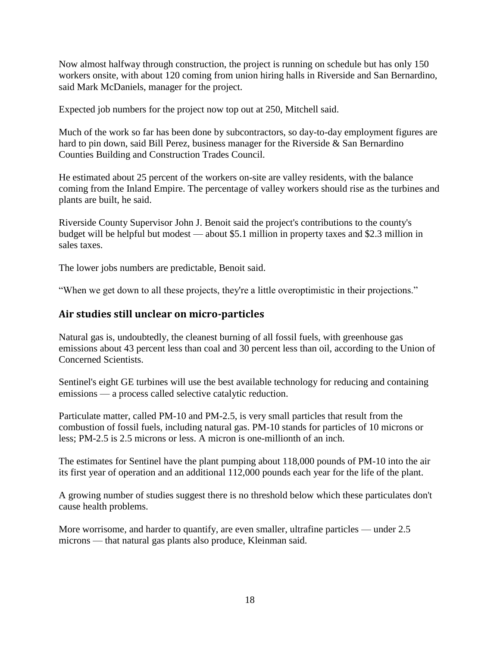Now almost halfway through construction, the project is running on schedule but has only 150 workers onsite, with about 120 coming from union hiring halls in Riverside and San Bernardino, said Mark McDaniels, manager for the project.

Expected job numbers for the project now top out at 250, Mitchell said.

Much of the work so far has been done by subcontractors, so day-to-day employment figures are hard to pin down, said Bill Perez, business manager for the Riverside & San Bernardino Counties Building and Construction Trades Council.

He estimated about 25 percent of the workers on-site are valley residents, with the balance coming from the Inland Empire. The percentage of valley workers should rise as the turbines and plants are built, he said.

Riverside County Supervisor John J. Benoit said the project's contributions to the county's budget will be helpful but modest — about \$5.1 million in property taxes and \$2.3 million in sales taxes.

The lower jobs numbers are predictable, Benoit said.

"When we get down to all these projects, they're a little overoptimistic in their projections."

## **Air studies still unclear on micro-particles**

Natural gas is, undoubtedly, the cleanest burning of all fossil fuels, with greenhouse gas emissions about 43 percent less than coal and 30 percent less than oil, according to the Union of Concerned Scientists.

Sentinel's eight GE turbines will use the best available technology for reducing and containing emissions — a process called selective catalytic reduction.

Particulate matter, called PM-10 and PM-2.5, is very small particles that result from the combustion of fossil fuels, including natural gas. PM-10 stands for particles of 10 microns or less; PM-2.5 is 2.5 microns or less. A micron is one-millionth of an inch.

The estimates for Sentinel have the plant pumping about 118,000 pounds of PM-10 into the air its first year of operation and an additional 112,000 pounds each year for the life of the plant.

A growing number of studies suggest there is no threshold below which these particulates don't cause health problems.

More worrisome, and harder to quantify, are even smaller, ultrafine particles — under 2.5 microns — that natural gas plants also produce, Kleinman said.